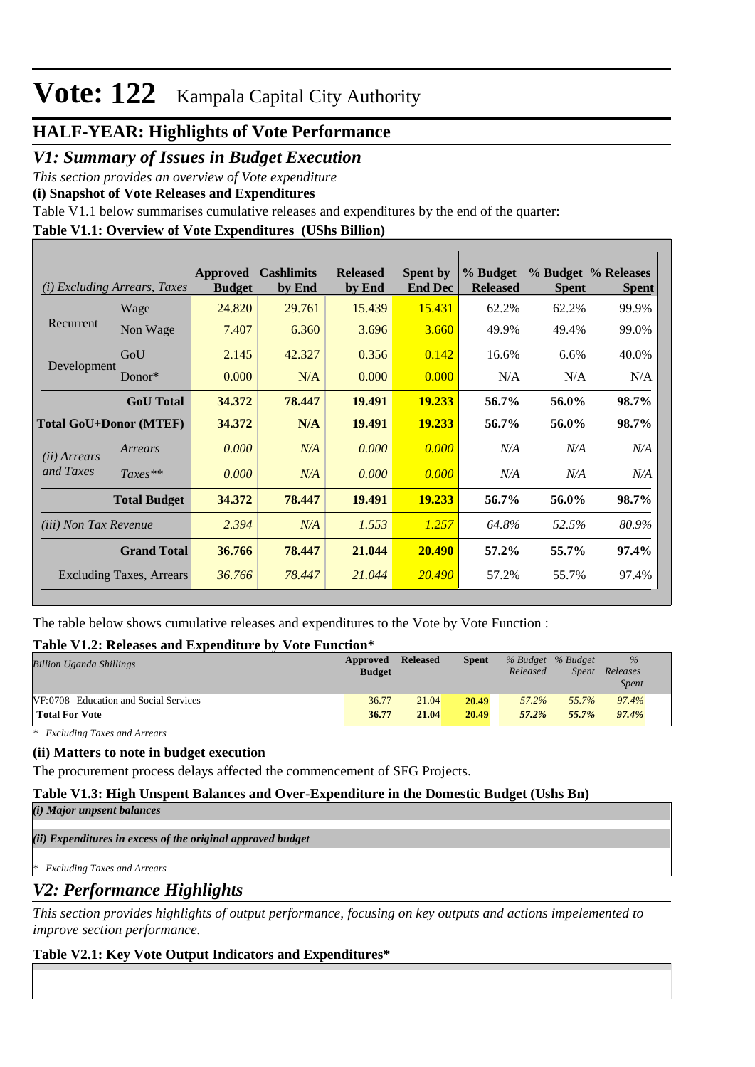### **HALF-YEAR: Highlights of Vote Performance**

*V1: Summary of Issues in Budget Execution*

*This section provides an overview of Vote expenditure* 

**(i) Snapshot of Vote Releases and Expenditures**

Table V1.1 below summarises cumulative releases and expenditures by the end of the quarter:

### **Table V1.1: Overview of Vote Expenditures (UShs Billion)**

|                               | ( <i>i</i> ) Excluding Arrears, Taxes | Approved<br><b>Budget</b> | <b>Cashlimits</b><br>by End | <b>Released</b><br>by End | <b>Spent by</b><br><b>End Dec</b> | % Budget<br><b>Released</b> | <b>Spent</b> | % Budget % Releases<br><b>Spent</b> |
|-------------------------------|---------------------------------------|---------------------------|-----------------------------|---------------------------|-----------------------------------|-----------------------------|--------------|-------------------------------------|
|                               | Wage                                  | 24.820                    | 29.761                      | 15.439                    | 15.431                            | 62.2%                       | 62.2%        | 99.9%                               |
| Recurrent                     | Non Wage                              | 7.407                     | 6.360                       | 3.696                     | 3.660                             | 49.9%                       | 49.4%        | 99.0%                               |
|                               | GoU                                   | 2.145                     | 42.327                      | 0.356                     | 0.142                             | 16.6%                       | 6.6%         | 40.0%                               |
| Development                   | Donor*                                | 0.000                     | N/A                         | 0.000                     | 0.000                             | N/A                         | N/A          | N/A                                 |
|                               | <b>GoU</b> Total                      | 34.372                    | 78.447                      | 19.491                    | 19.233                            | 56.7%                       | 56.0%        | 98.7%                               |
| <b>Total GoU+Donor (MTEF)</b> |                                       | 34.372                    | N/A                         | 19.491                    | <b>19.233</b>                     | 56.7%                       | 56.0%        | 98.7%                               |
| ( <i>ii</i> ) Arrears         | Arrears                               | 0.000                     | N/A                         | 0.000                     | 0.000                             | N/A                         | N/A          | N/A                                 |
| and Taxes                     | $Taxes**$                             | 0.000                     | N/A                         | 0.000                     | 0.000                             | N/A                         | N/A          | N/A                                 |
|                               | <b>Total Budget</b>                   | 34.372                    | 78.447                      | 19.491                    | <b>19.233</b>                     | 56.7%                       | 56.0%        | 98.7%                               |
| <i>(iii)</i> Non Tax Revenue  |                                       | 2.394                     | N/A                         | 1.553                     | 1.257                             | 64.8%                       | 52.5%        | 80.9%                               |
|                               | <b>Grand Total</b>                    | 36.766                    | 78.447                      | 21.044                    | 20.490                            | 57.2%                       | 55.7%        | 97.4%                               |
|                               | Excluding Taxes, Arrears              | 36.766                    | 78.447                      | 21.044                    | 20,490                            | 57.2%                       | 55.7%        | 97.4%                               |

The table below shows cumulative releases and expenditures to the Vote by Vote Function :

### **Table V1.2: Releases and Expenditure by Vote Function\***

| <b>Billion Uganda Shillings</b>       | Approved<br><b>Budget</b> | <b>Released</b> | <b>Spent</b> | % Budget % Budget<br>Released | Spent | $\%$<br>Releases<br><i>Spent</i> |
|---------------------------------------|---------------------------|-----------------|--------------|-------------------------------|-------|----------------------------------|
| VF:0708 Education and Social Services | 36.77                     | 21.04           | 20.49        | 57.2%                         | 55.7% | 97.4%                            |
| <b>Total For Vote</b>                 | 36.77                     | 21.04           | 20.49        | 57.2%                         | 55.7% | 97.4%                            |

*\* Excluding Taxes and Arrears*

### **(ii) Matters to note in budget execution**

The procurement process delays affected the commencement of SFG Projects.

### **Table V1.3: High Unspent Balances and Over-Expenditure in the Domestic Budget (Ushs Bn)**

*(i) Major unpsent balances*

*(ii) Expenditures in excess of the original approved budget*

*\* Excluding Taxes and Arrears*

### *V2: Performance Highlights*

*This section provides highlights of output performance, focusing on key outputs and actions impelemented to improve section performance.*

### **Table V2.1: Key Vote Output Indicators and Expenditures\***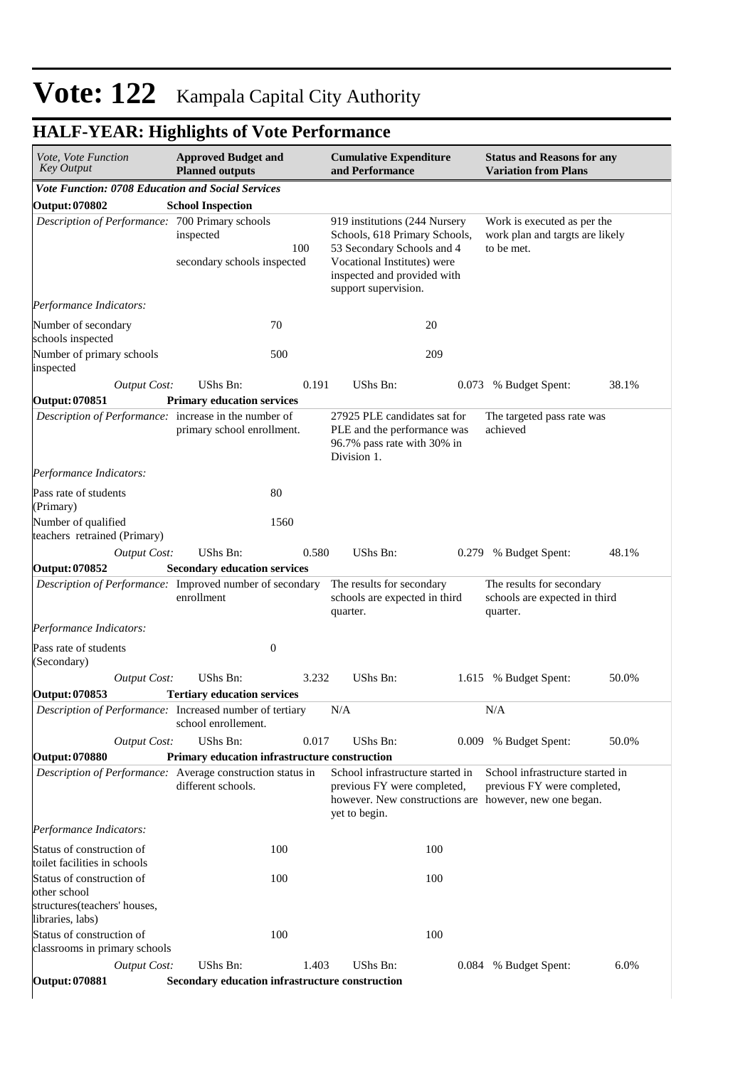#### **Cumulative Expenditure and Performance Approved Budget and Planned outputs Status and Reasons for any Variation from Plans** *Vote, Vote Function Key Output Vote Function: 0708 Education and Social Services* **Output: 070802 School Inspection** *Description of Performance:* 700 Primary schools inspected 100 secondary schools inspected 919 institutions (244 Nursery Schools, 618 Primary Schools, 53 Secondary Schools and 4 Vocational Institutes) were inspected and provided with support supervision. Work is executed as per the work plan and targts are likely to be met. *Output Cost:* UShs Bn: 0.191 UShs Bn: 0.073 % Budget Spent: 38.1% *Performance Indicators:* Number of secondary schools inspected 70 20 Number of primary schools inspected 500 209 **Output: 070851 Primary education services** *Description of Performance:* increase in the number of primary school enrollment. 27925 PLE candidates sat for PLE and the performance was 96.7% pass rate with 30% in Division 1. The targeted pass rate was achieved *Output Cost:* UShs Bn: 0.580 UShs Bn: 0.279 % Budget Spent: 48.1% *Performance Indicators:* Pass rate of students (Primary) 80 Number of qualified teachers retrained (Primary) 1560 **Output: 070852 Secondary education services** *Description of Performance:* Improved number of secondary enrollment The results for secondary schools are expected in third quarter. The results for secondary schools are expected in third quarter. *Output Cost:* UShs Bn: 3.232 UShs Bn: 1.615 % Budget Spent: 50.0% *Performance Indicators:* Pass rate of students (Secondary) 0 **Output: 070853 Tertiary education services** *Description of Performance:* Increased number of tertiary school enrollement.  $N/A$   $N/A$ *Output Cost:* UShs Bn: 0.017 UShs Bn: 0.009 % Budget Spent: 50.0% **Output: 070880 Primary education infrastructure construction** *Description of Performance:* Average construction status in different schools. School infrastructure started in previous FY were completed, however. New constructions are however, new one began. yet to begin. School infrastructure started in previous FY were completed, *Output Cost:* UShs Bn: 1.403 UShs Bn: 0.084 % Budget Spent: 6.0% *Performance Indicators:* Status of construction of toilet facilities in schools 100 100 Status of construction of other school structures(teachers' houses, libraries, labs) 100 100 Status of construction of classrooms in primary schools 100 100

### **HALF-YEAR: Highlights of Vote Performance**

**Output: 070881 Secondary education infrastructure construction**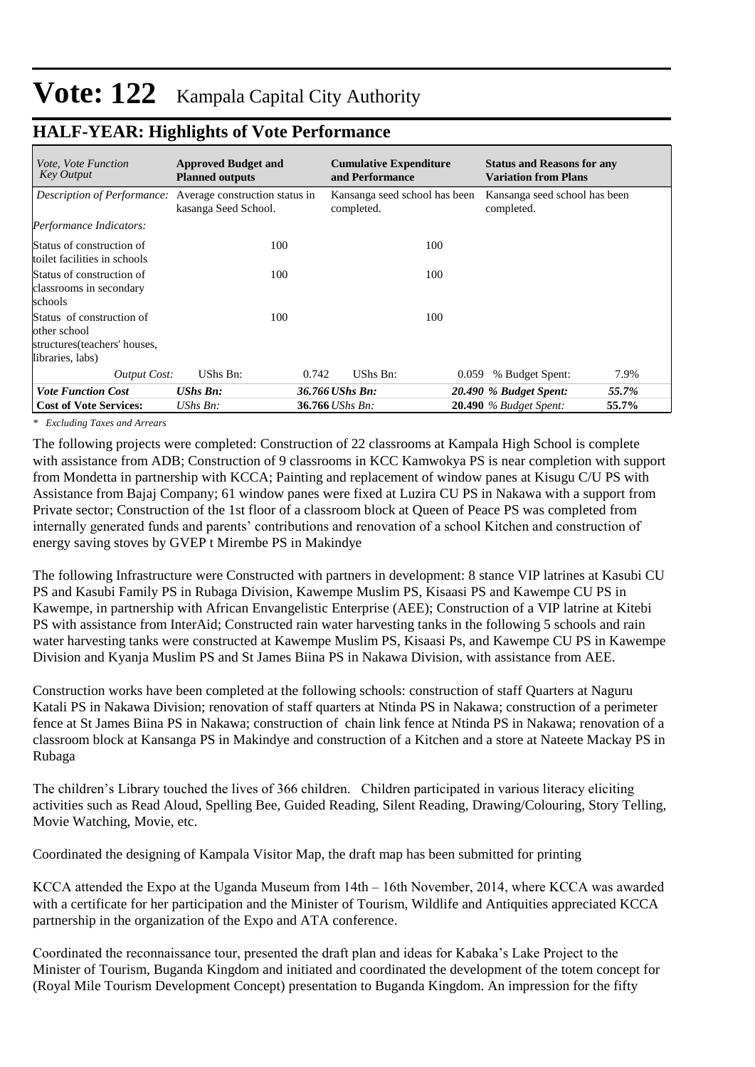| <i>Vote, Vote Function</i><br><b>Key Output</b>                                                | <b>Approved Budget and</b><br><b>Planned outputs</b>                                      | <b>Cumulative Expenditure</b><br>and Performance | <b>Status and Reasons for any</b><br><b>Variation from Plans</b> |
|------------------------------------------------------------------------------------------------|-------------------------------------------------------------------------------------------|--------------------------------------------------|------------------------------------------------------------------|
|                                                                                                | <i>Description of Performance:</i> Average construction status in<br>kasanga Seed School. | Kansanga seed school has been<br>completed.      | Kansanga seed school has been<br>completed.                      |
| Performance Indicators:                                                                        |                                                                                           |                                                  |                                                                  |
| Status of construction of<br>toilet facilities in schools                                      | 100                                                                                       | 100                                              |                                                                  |
| Status of construction of<br>classrooms in secondary<br>schools                                | 100                                                                                       | 100                                              |                                                                  |
| Status of construction of<br>other school<br>structures (teachers' houses,<br>libraries, labs) | 100                                                                                       | 100                                              |                                                                  |
| <b>Output Cost:</b>                                                                            | UShs Bn:                                                                                  | UShs Bn:<br>0.742                                | 7.9%<br>% Budget Spent:<br>0.059                                 |
| <b>Vote Function Cost</b>                                                                      | <b>UShs Bn:</b>                                                                           | 36.766 UShs Bn:                                  | 20.490 % Budget Spent:<br>55.7%                                  |
| <b>Cost of Vote Services:</b>                                                                  | UShs $Bn$ :                                                                               | 36.766 UShs Bn:                                  | 55.7%<br>$20.490$ % Budget Spent:                                |

### **HALF-YEAR: Highlights of Vote Performance**

*\* Excluding Taxes and Arrears*

The following projects were completed: Construction of 22 classrooms at Kampala High School is complete with assistance from ADB; Construction of 9 classrooms in KCC Kamwokya PS is near completion with support from Mondetta in partnership with KCCA; Painting and replacement of window panes at Kisugu C/U PS with Assistance from Bajaj Company; 61 window panes were fixed at Luzira CU PS in Nakawa with a support from Private sector; Construction of the 1st floor of a classroom block at Queen of Peace PS was completed from internally generated funds and parents' contributions and renovation of a school Kitchen and construction of energy saving stoves by GVEP t Mirembe PS in Makindye

The following Infrastructure were Constructed with partners in development: 8 stance VIP latrines at Kasubi CU PS and Kasubi Family PS in Rubaga Division, Kawempe Muslim PS, Kisaasi PS and Kawempe CU PS in Kawempe, in partnership with African Envangelistic Enterprise (AEE); Construction of a VIP latrine at Kitebi PS with assistance from InterAid; Constructed rain water harvesting tanks in the following 5 schools and rain water harvesting tanks were constructed at Kawempe Muslim PS, Kisaasi Ps, and Kawempe CU PS in Kawempe Division and Kyanja Muslim PS and St James Biina PS in Nakawa Division, with assistance from AEE.

Construction works have been completed at the following schools: construction of staff Quarters at Naguru Katali PS in Nakawa Division; renovation of staff quarters at Ntinda PS in Nakawa; construction of a perimeter fence at St James Biina PS in Nakawa; construction of chain link fence at Ntinda PS in Nakawa; renovation of a classroom block at Kansanga PS in Makindye and construction of a Kitchen and a store at Nateete Mackay PS in Rubaga

The children's Library touched the lives of 366 children. Children participated in various literacy eliciting activities such as Read Aloud, Spelling Bee, Guided Reading, Silent Reading, Drawing/Colouring, Story Telling, Movie Watching, Movie, etc.

Coordinated the designing of Kampala Visitor Map, the draft map has been submitted for printing

KCCA attended the Expo at the Uganda Museum from 14th – 16th November, 2014, where KCCA was awarded with a certificate for her participation and the Minister of Tourism, Wildlife and Antiquities appreciated KCCA partnership in the organization of the Expo and ATA conference.

Coordinated the reconnaissance tour, presented the draft plan and ideas for Kabaka's Lake Project to the Minister of Tourism, Buganda Kingdom and initiated and coordinated the development of the totem concept for (Royal Mile Tourism Development Concept) presentation to Buganda Kingdom. An impression for the fifty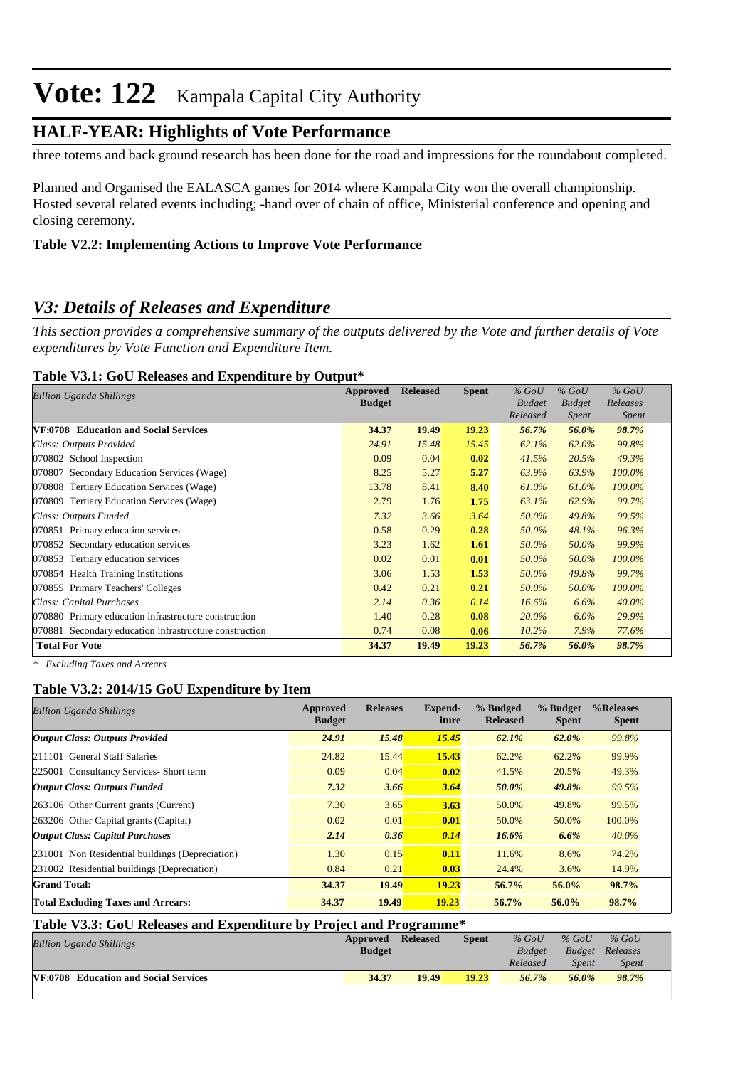### **HALF-YEAR: Highlights of Vote Performance**

three totems and back ground research has been done for the road and impressions for the roundabout completed.

Planned and Organised the EALASCA games for 2014 where Kampala City won the overall championship. Hosted several related events including; -hand over of chain of office, Ministerial conference and opening and closing ceremony.

### **Table V2.2: Implementing Actions to Improve Vote Performance**

### *V3: Details of Releases and Expenditure*

*This section provides a comprehensive summary of the outputs delivered by the Vote and further details of Vote expenditures by Vote Function and Expenditure Item.*

#### **Table V3.1: GoU Releases and Expenditure by Output\***

| Billion Uganda Shillings                                  | Approved<br><b>Budget</b> | <b>Released</b> | <b>Spent</b> | $%$ GoU<br><b>Budget</b><br>Released | $%$ GoU<br><b>Budget</b><br><i>Spent</i> | $%$ GoU<br>Releases<br><b>Spent</b> |
|-----------------------------------------------------------|---------------------------|-----------------|--------------|--------------------------------------|------------------------------------------|-------------------------------------|
| VF:0708 Education and Social Services                     | 34.37                     | 19.49           | 19.23        | 56.7%                                | 56.0%                                    | 98.7%                               |
| Class: Outputs Provided                                   | 24.91                     | 15.48           | 15.45        | 62.1%                                | 62.0%                                    | 99.8%                               |
| 070802 School Inspection                                  | 0.09                      | 0.04            | 0.02         | 41.5%                                | 20.5%                                    | 49.3%                               |
| Secondary Education Services (Wage)<br>070807             | 8.25                      | 5.27            | 5.27         | 63.9%                                | 63.9%                                    | 100.0%                              |
| <b>Tertiary Education Services (Wage)</b><br>070808       | 13.78                     | 8.41            | 8.40         | 61.0%                                | 61.0%                                    | 100.0%                              |
| <b>Tertiary Education Services (Wage)</b><br>070809       | 2.79                      | 1.76            | 1.75         | 63.1%                                | 62.9%                                    | 99.7%                               |
| Class: Outputs Funded                                     | 7.32                      | 3.66            | 3.64         | 50.0%                                | 49.8%                                    | 99.5%                               |
| Primary education services<br>070851                      | 0.58                      | 0.29            | 0.28         | 50.0%                                | 48.1%                                    | 96.3%                               |
| 070852 Secondary education services                       | 3.23                      | 1.62            | 1.61         | 50.0%                                | 50.0%                                    | 99.9%                               |
| Tertiary education services<br>070853                     | 0.02                      | 0.01            | 0.01         | 50.0%                                | 50.0%                                    | 100.0%                              |
| 070854 Health Training Institutions                       | 3.06                      | 1.53            | 1.53         | 50.0%                                | 49.8%                                    | 99.7%                               |
| 070855 Primary Teachers' Colleges                         | 0.42                      | 0.21            | 0.21         | 50.0%                                | 50.0%                                    | 100.0%                              |
| Class: Capital Purchases                                  | 2.14                      | 0.36            | 0.14         | 16.6%                                | 6.6%                                     | $40.0\%$                            |
| 070880 Primary education infrastructure construction      | 1.40                      | 0.28            | 0.08         | 20.0%                                | $6.0\%$                                  | 29.9%                               |
| Secondary education infrastructure construction<br>070881 | 0.74                      | 0.08            | 0.06         | 10.2%                                | 7.9%                                     | 77.6%                               |
| <b>Total For Vote</b>                                     | 34.37                     | 19.49           | 19.23        | 56.7%                                | 56.0%                                    | 98.7%                               |

*\* Excluding Taxes and Arrears*

### **Table V3.2: 2014/15 GoU Expenditure by Item**

| <b>Billion Uganda Shillings</b>                 | Approved<br><b>Budget</b> | <b>Releases</b> | Expend-<br>iture | % Budged<br><b>Released</b> | % Budget<br><b>Spent</b> | %Releases<br><b>Spent</b> |
|-------------------------------------------------|---------------------------|-----------------|------------------|-----------------------------|--------------------------|---------------------------|
| <b>Output Class: Outputs Provided</b>           | 24.91                     | 15.48           | 15.45            | 62.1%                       | 62.0%                    | 99.8%                     |
| 211101 General Staff Salaries                   | 24.82                     | 15.44           | 15.43            | 62.2%                       | 62.2%                    | 99.9%                     |
| 225001 Consultancy Services- Short term         | 0.09                      | 0.04            | 0.02             | 41.5%                       | 20.5%                    | 49.3%                     |
| <b>Output Class: Outputs Funded</b>             | 7.32                      | 3.66            | 3.64             | 50.0%                       | 49.8%                    | 99.5%                     |
| 263106 Other Current grants (Current)           | 7.30                      | 3.65            | 3.63             | 50.0%                       | 49.8%                    | 99.5%                     |
| 263206 Other Capital grants (Capital)           | 0.02                      | 0.01            | 0.01             | 50.0%                       | 50.0%                    | 100.0%                    |
| <b>Output Class: Capital Purchases</b>          | 2.14                      | 0.36            | 0.14             | 16.6%                       | 6.6%                     | $40.0\%$                  |
| 231001 Non Residential buildings (Depreciation) | 1.30                      | 0.15            | 0.11             | 11.6%                       | 8.6%                     | 74.2%                     |
| 231002 Residential buildings (Depreciation)     | 0.84                      | 0.21            | 0.03             | 24.4%                       | 3.6%                     | 14.9%                     |
| <b>Grand Total:</b>                             | 34.37                     | 19.49           | 19.23            | 56.7%                       | 56.0%                    | 98.7%                     |
| <b>Total Excluding Taxes and Arrears:</b>       | 34.37                     | 19.49           | 19.23            | 56.7%                       | 56.0%                    | 98.7%                     |

| Table V3.3: GoU Releases and Expenditure by Project and Programme* |               |                 |              |               |               |              |  |  |  |
|--------------------------------------------------------------------|---------------|-----------------|--------------|---------------|---------------|--------------|--|--|--|
| <b>Billion Uganda Shillings</b>                                    | Approved      | <b>Released</b> | <b>Spent</b> | $%$ GoU       | $%$ GoU       | $%$ GoU      |  |  |  |
|                                                                    | <b>Budget</b> |                 |              | <b>Budget</b> | <b>Budget</b> | Releases     |  |  |  |
|                                                                    |               |                 |              | Released      | <b>Spent</b>  | <b>Spent</b> |  |  |  |
| <b>VF:0708</b> Education and Social Services                       | 34.37         | 19.49           | 19.23        | 56.7%         | 56.0%         | 98.7%        |  |  |  |
|                                                                    |               |                 |              |               |               |              |  |  |  |